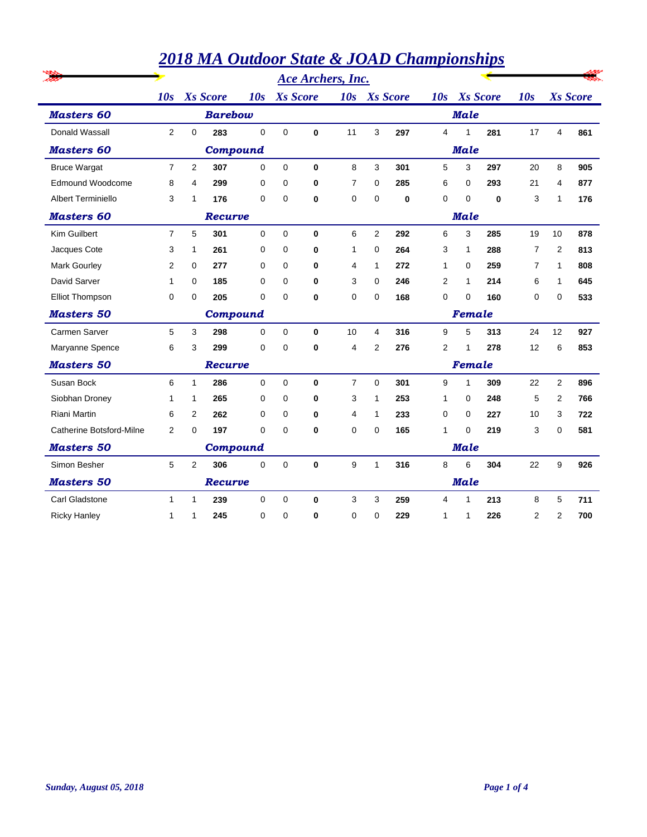|                           |                |             |                 |             |                 |              | <b>Ace Archers, Inc.</b> |                |                 |              |              |                        |                |                         |     |  |  |
|---------------------------|----------------|-------------|-----------------|-------------|-----------------|--------------|--------------------------|----------------|-----------------|--------------|--------------|------------------------|----------------|-------------------------|-----|--|--|
|                           | 10s            |             | <b>Xs</b> Score | 10s         | <b>Xs</b> Score |              | 10s                      |                | <b>Xs</b> Score | 10s          |              | <b>Xs</b> Score<br>10s |                | <b>Xs</b> Score         |     |  |  |
| <b>Masters 60</b>         |                |             | <b>Barebow</b>  |             |                 |              |                          |                |                 |              | <b>Male</b>  |                        |                |                         |     |  |  |
| Donald Wassall            | $\overline{2}$ | $\mathbf 0$ | 283             | $\mathbf 0$ | 0               | $\mathbf 0$  | 11                       | 3              | 297             | 4            | 1            | 281                    | 17             | $\overline{\mathbf{4}}$ | 861 |  |  |
| <b>Masters 60</b>         |                |             | <b>Compound</b> |             |                 |              |                          |                |                 | <b>Male</b>  |              |                        |                |                         |     |  |  |
| <b>Bruce Wargat</b>       | $\overline{7}$ | 2           | 307             | $\Omega$    | $\Omega$        | $\bf{0}$     | 8                        | 3              | 301             | 5            | 3            | 297                    | 20             | 8                       | 905 |  |  |
| Edmound Woodcome          | 8              | 4           | 299             | 0           | $\Omega$        | $\mathbf 0$  | $\overline{7}$           | $\Omega$       | 285             | 6            | 0            | 293                    | 21             | 4                       | 877 |  |  |
| <b>Albert Terminiello</b> | 3              | 1           | 176             | 0           | $\Omega$        | $\bf{0}$     | $\mathbf 0$              | $\Omega$       | 0               | 0            | $\Omega$     | 0                      | 3              | 1                       | 176 |  |  |
| <b>Masters 60</b>         |                |             | <b>Recurve</b>  |             |                 |              |                          | <b>Male</b>    |                 |              |              |                        |                |                         |     |  |  |
| Kim Guilbert              | $\overline{7}$ | 5           | 301             | $\mathbf 0$ | 0               | $\mathbf 0$  | 6                        | $\overline{2}$ | 292             | 6            | 3            | 285                    | 19             | 10                      | 878 |  |  |
| Jacques Cote              | 3              | 1           | 261             | 0           | 0               | 0            | 1                        | 0              | 264             | 3            | 1            | 288                    | $\overline{7}$ | $\overline{2}$          | 813 |  |  |
| Mark Gourley              | 2              | 0           | 277             | 0           | 0               | $\bf{0}$     | 4                        | 1              | 272             | 1            | 0            | 259                    | $\overline{7}$ | 1                       | 808 |  |  |
| David Sarver              | 1              | 0           | 185             | 0           | 0               | $\bf{0}$     | 3                        | 0              | 246             | 2            | 1            | 214                    | 6              | 1                       | 645 |  |  |
| <b>Elliot Thompson</b>    | 0              | 0           | 205             | $\Omega$    | $\Omega$        | $\bf{0}$     | $\Omega$                 | $\Omega$       | 168             | 0            | $\Omega$     | 160                    | 0              | $\Omega$                | 533 |  |  |
| <b>Masters 50</b>         |                |             | <b>Compound</b> |             |                 |              |                          | Female         |                 |              |              |                        |                |                         |     |  |  |
| <b>Carmen Sarver</b>      | 5              | 3           | 298             | $\mathbf 0$ | $\mathbf 0$     | $\bf{0}$     | 10                       | 4              | 316             | 9            | 5            | 313                    | 24             | 12                      | 927 |  |  |
| Maryanne Spence           | 6              | 3           | 299             | $\mathbf 0$ | 0               | $\bf{0}$     | 4                        | $\overline{2}$ | 276             | 2            | 1            | 278                    | 12             | 6                       | 853 |  |  |
| <b>Masters 50</b>         |                |             | Recurve         |             |                 |              |                          |                |                 | Female       |              |                        |                |                         |     |  |  |
| Susan Bock                | 6              | 1           | 286             | $\mathbf 0$ | $\Omega$        | $\bf{0}$     | $\overline{7}$           | $\Omega$       | 301             | 9            | $\mathbf{1}$ | 309                    | 22             | $\overline{2}$          | 896 |  |  |
| Siobhan Droney            | 1              | 1           | 265             | $\mathbf 0$ | 0               | $\mathbf 0$  | 3                        | 1              | 253             | $\mathbf{1}$ | 0            | 248                    | 5              | $\overline{2}$          | 766 |  |  |
| <b>Riani Martin</b>       | 6              | 2           | 262             | 0           | 0               | 0            | 4                        | 1              | 233             | 0            | $\Omega$     | 227                    | 10             | 3                       | 722 |  |  |
| Catherine Botsford-Milne  | 2              | $\Omega$    | 197             | $\Omega$    | $\Omega$        | $\bf{0}$     | $\Omega$                 | $\Omega$       | 165             | 1            | 0            | 219                    | 3              | 0                       | 581 |  |  |
| <b>Masters 50</b>         |                |             | Compound        |             |                 |              |                          | <b>Male</b>    |                 |              |              |                        |                |                         |     |  |  |
| Simon Besher              | 5              | 2           | 306             | $\Omega$    | $\Omega$        | $\bf{0}$     | 9                        | 1              | 316             | 8            | 6            | 304                    | 22             | 9                       | 926 |  |  |
| <b>Masters 50</b>         |                |             | <b>Recurve</b>  |             |                 |              |                          |                |                 | <b>Male</b>  |              |                        |                |                         |     |  |  |
| <b>Carl Gladstone</b>     | $\mathbf{1}$   | 1           | 239             | $\mathbf 0$ | 0               | $\mathbf{0}$ | 3                        | 3              | 259             | 4            | 1            | 213                    | 8              | 5                       | 711 |  |  |
| <b>Ricky Hanley</b>       | 1              | 1           | 245             | 0           | 0               | 0            | 0                        | 0              | 229             | 1            | 1            | 226                    | 2              | 2                       | 700 |  |  |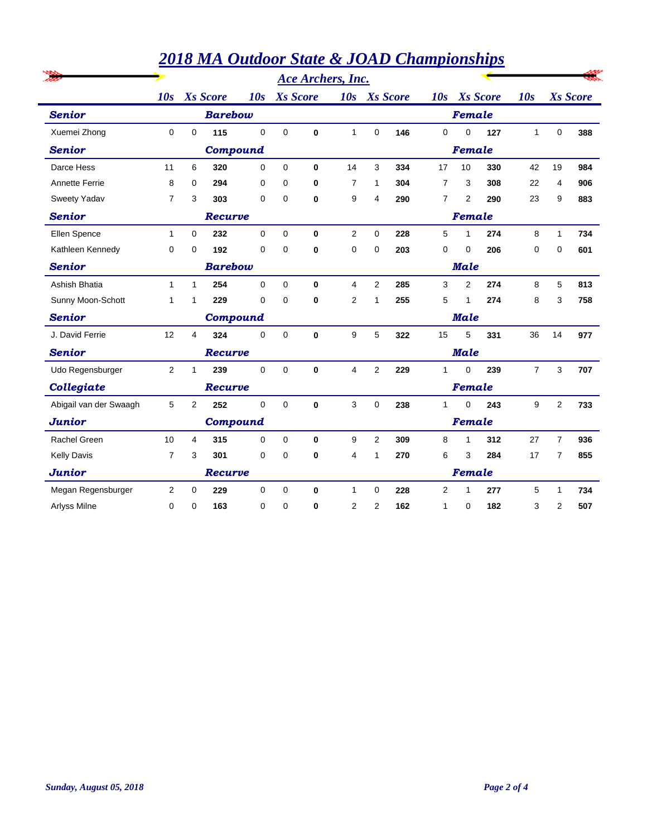|                        |                |                |                 |             |                 |          | <b>Ace Archers, Inc.</b> |                 |     |                |                |                 |                |                |                 |  |  |  |  |  |
|------------------------|----------------|----------------|-----------------|-------------|-----------------|----------|--------------------------|-----------------|-----|----------------|----------------|-----------------|----------------|----------------|-----------------|--|--|--|--|--|
|                        | 10s            |                | <b>Xs</b> Score | 10s         | <b>Xs</b> Score |          | 10s                      | <b>Xs</b> Score |     | 10s            |                | <b>Xs</b> Score | 10s            |                | <b>Xs</b> Score |  |  |  |  |  |
| <b>Senior</b>          |                |                | <b>Barebow</b>  |             |                 |          |                          |                 |     |                | Female         |                 |                |                |                 |  |  |  |  |  |
| Xuemei Zhong           | $\mathbf 0$    | $\mathbf 0$    | 115             | $\Omega$    | $\Omega$        | 0        | 1                        | $\Omega$        | 146 | $\mathbf 0$    | $\Omega$       | 127             | $\mathbf{1}$   | 0              | 388             |  |  |  |  |  |
| <b>Senior</b>          |                |                | <b>Compound</b> |             |                 |          |                          |                 |     |                | Female         |                 |                |                |                 |  |  |  |  |  |
| Darce Hess             | 11             | 6              | 320             | $\mathbf 0$ | $\Omega$        | 0        | 14                       | 3               | 334 | 17             | 10             | 330             | 42             | 19             | 984             |  |  |  |  |  |
| <b>Annette Ferrie</b>  | 8              | 0              | 294             | 0           | $\Omega$        | 0        | $\overline{7}$           | 1               | 304 | $\overline{7}$ | 3              | 308             | 22             | 4              | 906             |  |  |  |  |  |
| Sweety Yadav           | 7              | 3              | 303             | $\mathbf 0$ | 0               | 0        | 9                        | 4               | 290 | $\overline{7}$ | 2              | 290             | 23             | 9              | 883             |  |  |  |  |  |
| <b>Senior</b>          |                | Recurve        |                 |             |                 |          |                          |                 |     |                | Female         |                 |                |                |                 |  |  |  |  |  |
| Ellen Spence           | $\mathbf{1}$   | $\mathbf 0$    | 232             | 0           | 0               | 0        | $\overline{2}$           | 0               | 228 | 5              | 1              | 274             | 8              | $\mathbf{1}$   | 734             |  |  |  |  |  |
| Kathleen Kennedy       | 0              | 0              | 192             | $\Omega$    | $\Omega$        | 0        | 0                        | $\Omega$        | 203 | 0              | 0              | 206             | 0              | $\Omega$       | 601             |  |  |  |  |  |
| <b>Senior</b>          | <b>Barebow</b> |                |                 |             |                 |          |                          | <b>Male</b>     |     |                |                |                 |                |                |                 |  |  |  |  |  |
| Ashish Bhatia          | $\mathbf{1}$   | 1              | 254             | 0           | $\mathbf 0$     | 0        | 4                        | 2               | 285 | 3              | $\overline{2}$ | 274             | 8              | 5              | 813             |  |  |  |  |  |
| Sunny Moon-Schott      | 1              | 1              | 229             | 0           | $\Omega$        | 0        | $\overline{2}$           | 1               | 255 | 5              | 1              | 274             | 8              | 3              | 758             |  |  |  |  |  |
| <b>Senior</b>          |                |                | <b>Compound</b> |             |                 |          |                          |                 |     | <b>Male</b>    |                |                 |                |                |                 |  |  |  |  |  |
| J. David Ferrie        | 12             | 4              | 324             | $\mathbf 0$ | $\Omega$        | 0        | 9                        | 5               | 322 | 15             | 5              | 331             | 36             | 14             | 977             |  |  |  |  |  |
| <b>Senior</b>          |                |                | <b>Recurve</b>  |             |                 |          |                          |                 |     | <b>Male</b>    |                |                 |                |                |                 |  |  |  |  |  |
| Udo Regensburger       | $\overline{2}$ | 1              | 239             | $\Omega$    | $\Omega$        | $\bf{0}$ | $\overline{4}$           | 2               | 229 | $\mathbf{1}$   | $\Omega$       | 239             | $\overline{7}$ | 3              | 707             |  |  |  |  |  |
| Collegiate             |                |                | Recurve         |             |                 |          |                          |                 |     | Female         |                |                 |                |                |                 |  |  |  |  |  |
| Abigail van der Swaagh | 5              | $\overline{2}$ | 252             | 0           | $\Omega$        | 0        | 3                        | $\Omega$        | 238 | $\mathbf{1}$   | $\Omega$       | 243             | 9              | $\overline{2}$ | 733             |  |  |  |  |  |
| <b>Junior</b>          |                |                | <b>Compound</b> |             |                 |          |                          |                 |     | Female         |                |                 |                |                |                 |  |  |  |  |  |
| <b>Rachel Green</b>    | 10             | 4              | 315             | 0           | $\mathbf 0$     | 0        | 9                        | 2               | 309 | 8              | 1              | 312             | 27             | $\overline{7}$ | 936             |  |  |  |  |  |
| <b>Kelly Davis</b>     | $\overline{7}$ | 3              | 301             | 0           | $\Omega$        | 0        | 4                        | 1               | 270 | 6              | 3              | 284             | 17             | 7              | 855             |  |  |  |  |  |
| <b>Junior</b>          |                |                | Recurve         |             |                 |          |                          |                 |     |                | Female         |                 |                |                |                 |  |  |  |  |  |
| Megan Regensburger     | 2              | 0              | 229             | 0           | 0               | 0        | 1                        | 0               | 228 | 2              | 1              | 277             | 5              | 1              | 734             |  |  |  |  |  |
| <b>Arlyss Milne</b>    | 0              | 0              | 163             | 0           | 0               | 0        | 2                        | $\overline{2}$  | 162 | 1              | 0              | 182             | 3              | 2              | 507             |  |  |  |  |  |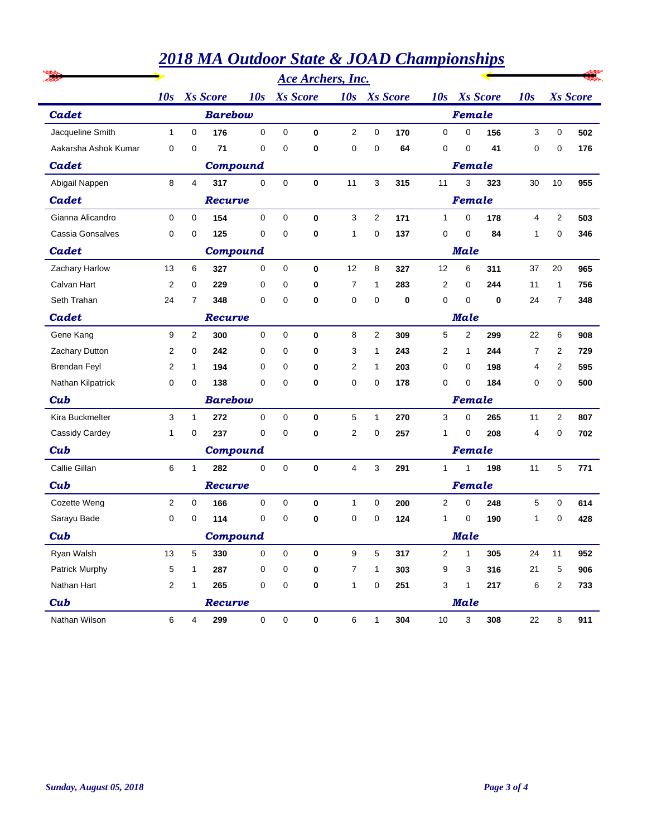|                      |                |                         |                 |                 |             |              | <b>Ace Archers, Inc.</b> |              |     |                |                 |     |    |                 |     |  |  |
|----------------------|----------------|-------------------------|-----------------|-----------------|-------------|--------------|--------------------------|--------------|-----|----------------|-----------------|-----|----|-----------------|-----|--|--|
|                      | 10s            | <b>Xs</b> Score<br>10s  |                 | <b>Xs</b> Score |             |              | 10s Xs Score             |              | 10s |                | <b>Xs</b> Score | 10s |    | <b>Xs</b> Score |     |  |  |
| Cadet                | <b>Barebow</b> |                         |                 |                 |             |              |                          |              |     |                | Female          |     |    |                 |     |  |  |
| Jacqueline Smith     | $\mathbf{1}$   | $\mathbf 0$             | 176             | $\mathbf 0$     | 0           | $\mathbf{0}$ | $\overline{2}$           | 0            | 170 | 0              | 0               | 156 | 3  | 0               | 502 |  |  |
| Aakarsha Ashok Kumar | 0              | 0                       | 71              | $\mathbf 0$     | 0           | 0            | 0                        | 0            | 64  | 0              | 0               | 41  | 0  | 0               | 176 |  |  |
| Cadet                |                |                         | <b>Compound</b> |                 |             |              |                          |              |     |                | Female          |     |    |                 |     |  |  |
| Abigail Nappen       | 8              | $\overline{\mathbf{4}}$ | 317             | $\mathbf 0$     | $\mathbf 0$ | 0            | 11                       | 3            | 315 | 11             | 3               | 323 | 30 | 10              | 955 |  |  |
| Cadet                |                |                         | Recurve         |                 |             |              |                          |              |     |                | Female          |     |    |                 |     |  |  |
| Gianna Alicandro     | 0              | 0                       | 154             | 0               | 0           | $\bf{0}$     | 3                        | 2            | 171 | $\mathbf{1}$   | 0               | 178 | 4  | 2               | 503 |  |  |
| Cassia Gonsalves     | 0              | 0                       | 125             | $\mathbf 0$     | 0           | $\bf{0}$     | 1                        | 0            | 137 | 0              | 0               | 84  | 1  | 0               | 346 |  |  |
| Cadet                |                |                         | <b>Compound</b> |                 |             |              |                          |              |     |                | <b>Male</b>     |     |    |                 |     |  |  |
| Zachary Harlow       | 13             | 6                       | 327             | 0               | $\mathbf 0$ | $\mathbf 0$  | 12                       | 8            | 327 | 12             | 6               | 311 | 37 | 20              | 965 |  |  |
| Calvan Hart          | $\overline{2}$ | 0                       | 229             | 0               | 0           | 0            | 7                        | 1            | 283 | 2              | 0               | 244 | 11 | 1               | 756 |  |  |
| Seth Trahan          | 24             | 7                       | 348             | 0               | 0           | 0            | 0                        | 0            | 0   | 0              | 0               | 0   | 24 | 7               | 348 |  |  |
| Cadet                |                |                         | Recurve         |                 |             |              |                          |              |     | <b>Male</b>    |                 |     |    |                 |     |  |  |
| Gene Kang            | 9              | 2                       | 300             | $\mathbf 0$     | $\mathbf 0$ | $\mathbf 0$  | 8                        | 2            | 309 | 5              | $\overline{2}$  | 299 | 22 | 6               | 908 |  |  |
| Zachary Dutton       | 2              | 0                       | 242             | 0               | 0           | 0            | 3                        | 1            | 243 | 2              | 1               | 244 | 7  | 2               | 729 |  |  |
| <b>Brendan Feyl</b>  | 2              | 1                       | 194             | 0               | 0           | 0            | 2                        | 1            | 203 | 0              | 0               | 198 | 4  | 2               | 595 |  |  |
| Nathan Kilpatrick    | 0              | 0                       | 138             | 0               | 0           | 0            | 0                        | 0            | 178 | 0              | 0               | 184 | 0  | 0               | 500 |  |  |
| Cub                  |                |                         | <b>Barebow</b>  |                 |             |              |                          | Female       |     |                |                 |     |    |                 |     |  |  |
| Kira Buckmelter      | 3              | $\mathbf{1}$            | 272             | $\mathbf 0$     | 0           | $\bf{0}$     | 5                        | 1            | 270 | 3              | 0               | 265 | 11 | $\overline{2}$  | 807 |  |  |
| Cassidy Cardey       | 1              | 0                       | 237             | 0               | 0           | 0            | 2                        | 0            | 257 | 1              | 0               | 208 | 4  | 0               | 702 |  |  |
| Cub                  |                |                         | <b>Compound</b> |                 |             |              |                          |              |     |                | Female          |     |    |                 |     |  |  |
| Callie Gillan        | 6              | $\mathbf{1}$            | 282             | $\mathbf 0$     | 0           | $\mathbf 0$  | 4                        | 3            | 291 | $\mathbf{1}$   | 1               | 198 | 11 | 5               | 771 |  |  |
| Cub                  |                |                         | Recurve         |                 |             |              |                          |              |     | Female         |                 |     |    |                 |     |  |  |
| Cozette Weng         | 2              | 0                       | 166             | 0               | 0           | $\bf{0}$     | 1                        | 0            | 200 | 2              | 0               | 248 | 5  | 0               | 614 |  |  |
| Sarayu Bade          | 0              | 0                       | 114             | 0               | 0           | 0            | 0                        | 0            | 124 | 1              | 0               | 190 | 1  | 0               | 428 |  |  |
| Cub                  |                |                         | Compound        |                 |             |              |                          |              |     |                | <b>Male</b>     |     |    |                 |     |  |  |
| Ryan Walsh           | 13             | 5                       | 330             | 0               | 0           | 0            | 9                        | 5            | 317 | $\overline{2}$ | $\mathbf{1}$    | 305 | 24 | 11              | 952 |  |  |
| Patrick Murphy       | 5              | 1                       | 287             | 0               | 0           | 0            | 7                        | $\mathbf{1}$ | 303 | 9              | 3               | 316 | 21 | 5               | 906 |  |  |
| Nathan Hart          | 2              | 1                       | 265             | 0               | 0           | 0            | 1                        | 0            | 251 | 3              | $\mathbf{1}$    | 217 | 6  | 2               | 733 |  |  |
| Cub                  |                |                         | Recurve         |                 |             |              |                          |              |     |                | <b>Male</b>     |     |    |                 |     |  |  |
| Nathan Wilson        | 6              | $\overline{4}$          | 299             | $\mathbf 0$     | $\pmb{0}$   | $\pmb{0}$    | $\,6\,$                  | $\mathbf{1}$ | 304 | $10$           | 3               | 308 | 22 | 8               | 911 |  |  |